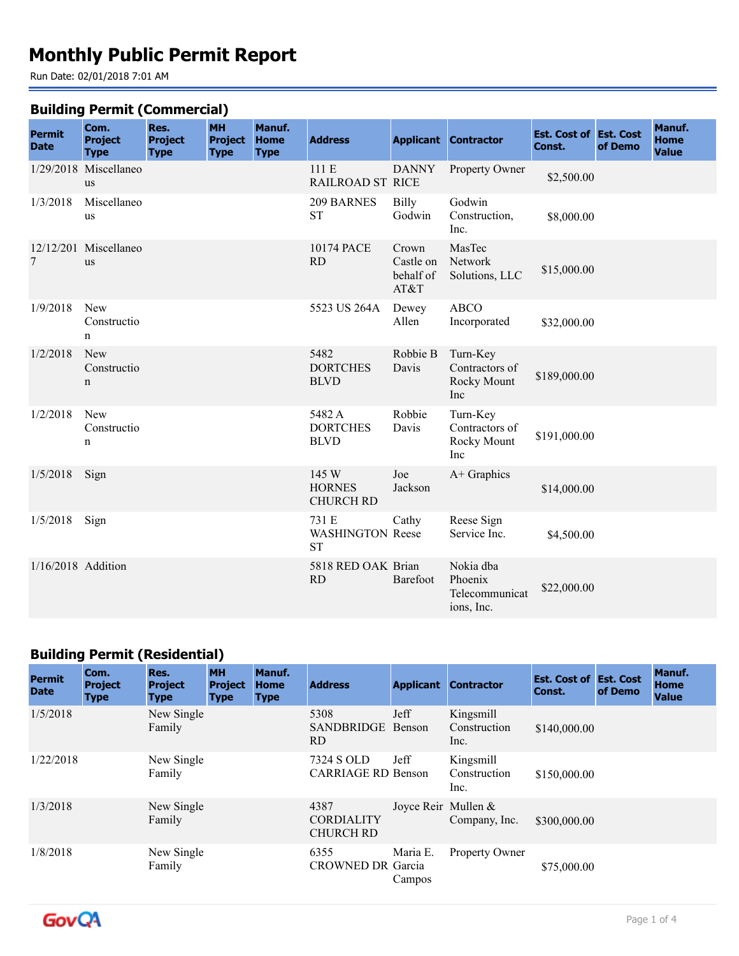# **Monthly Public Permit Report**

Run Date: 02/01/2018 7:01 AM

#### **Building Permit (Commercial)**

| <b>Permit</b><br><b>Date</b> | Com.<br><b>Project</b><br><b>Type</b> | Res.<br><b>Project</b><br><b>Type</b> | <b>MH</b><br><b>Project</b><br><b>Type</b> | Manuf.<br><b>Home</b><br><b>Type</b> | <b>Address</b>                             |                                         | <b>Applicant Contractor</b>                          | <b>Est. Cost of Est. Cost</b><br>Const. | of Demo | Manuf.<br>Home<br><b>Value</b> |
|------------------------------|---------------------------------------|---------------------------------------|--------------------------------------------|--------------------------------------|--------------------------------------------|-----------------------------------------|------------------------------------------------------|-----------------------------------------|---------|--------------------------------|
|                              | 1/29/2018 Miscellaneo<br>us           |                                       |                                            |                                      | 111 E<br><b>RAILROAD ST RICE</b>           | <b>DANNY</b>                            | Property Owner                                       | \$2,500.00                              |         |                                |
| 1/3/2018                     | Miscellaneo<br><b>us</b>              |                                       |                                            |                                      | 209 BARNES<br><b>ST</b>                    | <b>Billy</b><br>Godwin                  | Godwin<br>Construction,<br>Inc.                      | \$8,000.00                              |         |                                |
| 7                            | 12/12/201 Miscellaneo<br><b>us</b>    |                                       |                                            |                                      | 10174 PACE<br>RD                           | Crown<br>Castle on<br>behalf of<br>AT&T | MasTec<br>Network<br>Solutions, LLC                  | \$15,000.00                             |         |                                |
| 1/9/2018                     | New<br>Constructio<br>$\mathbf n$     |                                       |                                            |                                      | 5523 US 264A                               | Dewey<br>Allen                          | <b>ABCO</b><br>Incorporated                          | \$32,000.00                             |         |                                |
| 1/2/2018                     | <b>New</b><br>Constructio<br>n        |                                       |                                            |                                      | 5482<br><b>DORTCHES</b><br><b>BLVD</b>     | Robbie B<br>Davis                       | Turn-Key<br>Contractors of<br>Rocky Mount<br>Inc     | \$189,000.00                            |         |                                |
| 1/2/2018                     | New<br>Constructio<br>n               |                                       |                                            |                                      | 5482 A<br><b>DORTCHES</b><br><b>BLVD</b>   | Robbie<br>Davis                         | Turn-Key<br>Contractors of<br>Rocky Mount<br>Inc     | \$191,000.00                            |         |                                |
| 1/5/2018                     | Sign                                  |                                       |                                            |                                      | 145 W<br><b>HORNES</b><br><b>CHURCH RD</b> | Joe<br>Jackson                          | A+ Graphics                                          | \$14,000.00                             |         |                                |
| 1/5/2018                     | Sign                                  |                                       |                                            |                                      | 731 E<br>WASHINGTON Reese<br><b>ST</b>     | Cathy                                   | Reese Sign<br>Service Inc.                           | \$4,500.00                              |         |                                |
| $1/16/2018$ Addition         |                                       |                                       |                                            |                                      | 5818 RED OAK Brian<br><b>RD</b>            | Barefoot                                | Nokia dba<br>Phoenix<br>Telecommunicat<br>ions, Inc. | \$22,000.00                             |         |                                |

# **Building Permit (Residential)**

| <b>Permit</b><br><b>Date</b> | Com.<br><b>Project</b><br><b>Type</b> | Res.<br><b>Project</b><br><b>Type</b> | <b>MH</b><br><b>Project</b><br><b>Type</b> | Manuf.<br><b>Home</b><br><b>Type</b> | <b>Address</b>                                |                       | <b>Applicant Contractor</b>       | <b>Est. Cost of Est. Cost</b><br>Const. | of Demo | Manuf.<br><b>Home</b><br><b>Value</b> |
|------------------------------|---------------------------------------|---------------------------------------|--------------------------------------------|--------------------------------------|-----------------------------------------------|-----------------------|-----------------------------------|-----------------------------------------|---------|---------------------------------------|
| 1/5/2018                     |                                       | New Single<br>Family                  |                                            |                                      | 5308<br>SANDBRIDGE<br>RD.                     | Jeff<br>Benson        | Kingsmill<br>Construction<br>Inc. | \$140,000.00                            |         |                                       |
| 1/22/2018                    |                                       | New Single<br>Family                  |                                            |                                      | 7324 S OLD<br><b>CARRIAGE RD Benson</b>       | Jeff                  | Kingsmill<br>Construction<br>Inc. | \$150,000.00                            |         |                                       |
| 1/3/2018                     |                                       | New Single<br>Family                  |                                            |                                      | 4387<br><b>CORDIALITY</b><br><b>CHURCH RD</b> | Joyce Reir Mullen $&$ | Company, Inc.                     | \$300,000.00                            |         |                                       |
| 1/8/2018                     |                                       | New Single<br>Family                  |                                            |                                      | 6355<br><b>CROWNED DR Garcia</b>              | Maria E.<br>Campos    | Property Owner                    | \$75,000.00                             |         |                                       |

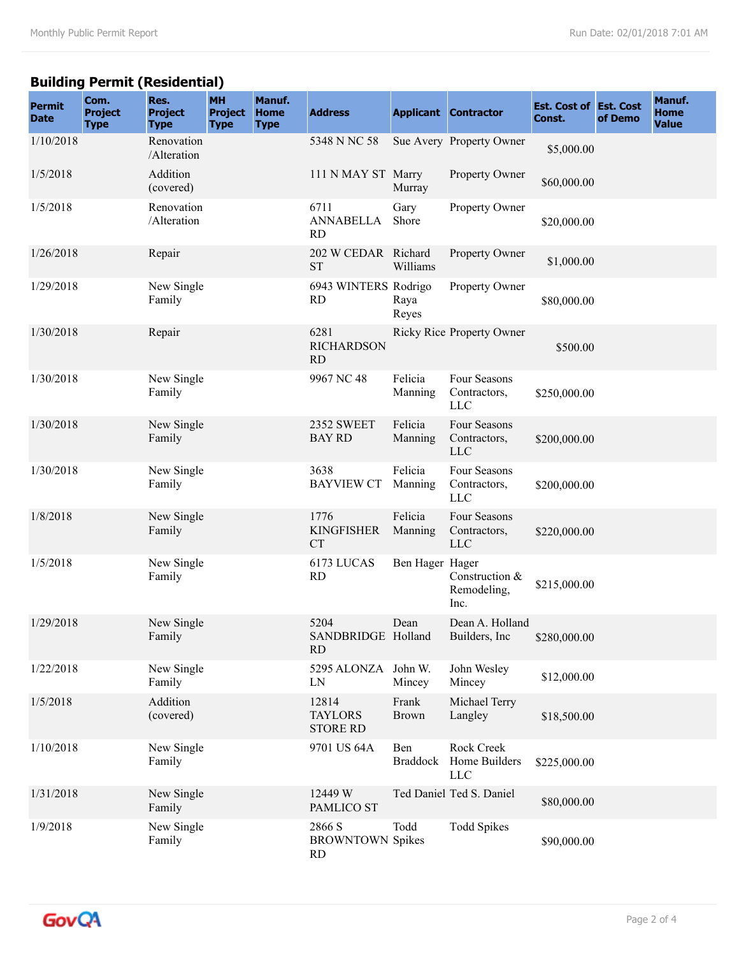## **Building Permit (Residential)**

| <b>Permit</b><br><b>Date</b> | Com.<br><b>Project</b><br><b>Type</b> | Res.<br><b>Project</b><br><b>Type</b> | <b>MH</b><br><b>Project</b><br><b>Type</b> | Manuf.<br><b>Home</b><br><b>Type</b> | <b>Address</b>                             |                        | <b>Applicant Contractor</b>                | <b>Est. Cost of Est. Cost</b><br>Const. | of Demo | Manuf.<br><b>Home</b><br><b>Value</b> |
|------------------------------|---------------------------------------|---------------------------------------|--------------------------------------------|--------------------------------------|--------------------------------------------|------------------------|--------------------------------------------|-----------------------------------------|---------|---------------------------------------|
| 1/10/2018                    |                                       | Renovation<br>/Alteration             |                                            |                                      | 5348 N NC 58                               |                        | Sue Avery Property Owner                   | \$5,000.00                              |         |                                       |
| 1/5/2018                     |                                       | Addition<br>(covered)                 |                                            |                                      | 111 N MAY ST Marry                         | Murray                 | Property Owner                             | \$60,000.00                             |         |                                       |
| 1/5/2018                     |                                       | Renovation<br>/Alteration             |                                            |                                      | 6711<br><b>ANNABELLA</b><br><b>RD</b>      | Gary<br>Shore          | Property Owner                             | \$20,000.00                             |         |                                       |
| 1/26/2018                    |                                       | Repair                                |                                            |                                      | 202 W CEDAR Richard<br><b>ST</b>           | Williams               | Property Owner                             | \$1,000.00                              |         |                                       |
| 1/29/2018                    |                                       | New Single<br>Family                  |                                            |                                      | 6943 WINTERS Rodrigo<br><b>RD</b>          | Raya<br>Reyes          | Property Owner                             | \$80,000.00                             |         |                                       |
| 1/30/2018                    |                                       | Repair                                |                                            |                                      | 6281<br><b>RICHARDSON</b><br><b>RD</b>     |                        | <b>Ricky Rice Property Owner</b>           | \$500.00                                |         |                                       |
| 1/30/2018                    |                                       | New Single<br>Family                  |                                            |                                      | 9967 NC 48                                 | Felicia<br>Manning     | Four Seasons<br>Contractors,<br><b>LLC</b> | \$250,000.00                            |         |                                       |
| 1/30/2018                    |                                       | New Single<br>Family                  |                                            |                                      | <b>2352 SWEET</b><br><b>BAY RD</b>         | Felicia<br>Manning     | Four Seasons<br>Contractors,<br><b>LLC</b> | \$200,000.00                            |         |                                       |
| 1/30/2018                    |                                       | New Single<br>Family                  |                                            |                                      | 3638<br><b>BAYVIEW CT</b>                  | Felicia<br>Manning     | Four Seasons<br>Contractors,<br><b>LLC</b> | \$200,000.00                            |         |                                       |
| 1/8/2018                     |                                       | New Single<br>Family                  |                                            |                                      | 1776<br><b>KINGFISHER</b><br><b>CT</b>     | Felicia<br>Manning     | Four Seasons<br>Contractors,<br><b>LLC</b> | \$220,000.00                            |         |                                       |
| 1/5/2018                     |                                       | New Single<br>Family                  |                                            |                                      | 6173 LUCAS<br><b>RD</b>                    | Ben Hager Hager        | Construction &<br>Remodeling,<br>Inc.      | \$215,000.00                            |         |                                       |
| 1/29/2018                    |                                       | New Single<br>Family                  |                                            |                                      | 5204<br>SANDBRIDGE Holland<br><b>RD</b>    | Dean                   | Dean A. Holland<br>Builders, Inc           | \$280,000.00                            |         |                                       |
| 1/22/2018                    |                                       | New Single<br>Family                  |                                            |                                      | 5295 ALONZA John W.<br>LN                  | Mincey                 | John Wesley<br>Mincey                      | \$12,000.00                             |         |                                       |
| 1/5/2018                     |                                       | Addition<br>(covered)                 |                                            |                                      | 12814<br><b>TAYLORS</b><br><b>STORE RD</b> | Frank<br><b>Brown</b>  | Michael Terry<br>Langley                   | \$18,500.00                             |         |                                       |
| 1/10/2018                    |                                       | New Single<br>Family                  |                                            |                                      | 9701 US 64A                                | Ben<br><b>Braddock</b> | Rock Creek<br>Home Builders<br><b>LLC</b>  | \$225,000.00                            |         |                                       |
| 1/31/2018                    |                                       | New Single<br>Family                  |                                            |                                      | 12449 W<br>PAMLICO ST                      |                        | Ted Daniel Ted S. Daniel                   | \$80,000.00                             |         |                                       |
| 1/9/2018                     |                                       | New Single<br>Family                  |                                            |                                      | 2866 S<br><b>BROWNTOWN Spikes</b><br>RD    | Todd                   | <b>Todd Spikes</b>                         | \$90,000.00                             |         |                                       |

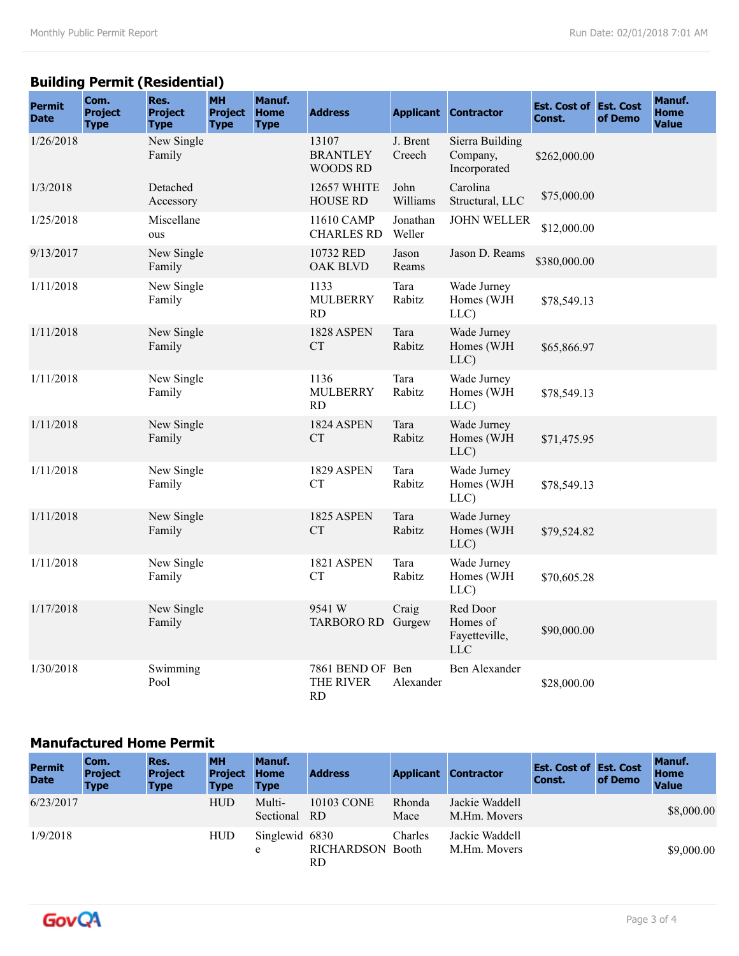## **Building Permit (Residential)**

| <b>Permit</b><br><b>Date</b> | Com.<br><b>Project</b><br><b>Type</b> | Res.<br><b>Project</b><br><b>Type</b> | <b>MH</b><br><b>Project</b><br><b>Type</b> | Manuf.<br>Home<br><b>Type</b> | <b>Address</b>                              | <b>Applicant</b>   | <b>Contractor</b>                            | <b>Est. Cost of Est. Cost</b><br>Const. | of Demo | Manuf.<br><b>Home</b><br><b>Value</b> |
|------------------------------|---------------------------------------|---------------------------------------|--------------------------------------------|-------------------------------|---------------------------------------------|--------------------|----------------------------------------------|-----------------------------------------|---------|---------------------------------------|
| 1/26/2018                    |                                       | New Single<br>Family                  |                                            |                               | 13107<br><b>BRANTLEY</b><br><b>WOODS RD</b> | J. Brent<br>Creech | Sierra Building<br>Company,<br>Incorporated  | \$262,000.00                            |         |                                       |
| 1/3/2018                     |                                       | Detached<br>Accessory                 |                                            |                               | <b>12657 WHITE</b><br><b>HOUSE RD</b>       | John<br>Williams   | Carolina<br>Structural, LLC                  | \$75,000.00                             |         |                                       |
| 1/25/2018                    |                                       | Miscellane<br>ous                     |                                            |                               | 11610 CAMP<br><b>CHARLES RD</b>             | Jonathan<br>Weller | <b>JOHN WELLER</b>                           | \$12,000.00                             |         |                                       |
| 9/13/2017                    |                                       | New Single<br>Family                  |                                            |                               | 10732 RED<br>OAK BLVD                       | Jason<br>Reams     | Jason D. Reams                               | \$380,000.00                            |         |                                       |
| 1/11/2018                    |                                       | New Single<br>Family                  |                                            |                               | 1133<br><b>MULBERRY</b><br><b>RD</b>        | Tara<br>Rabitz     | Wade Jurney<br>Homes (WJH<br>LLC)            | \$78,549.13                             |         |                                       |
| 1/11/2018                    |                                       | New Single<br>Family                  |                                            |                               | 1828 ASPEN<br><b>CT</b>                     | Tara<br>Rabitz     | Wade Jurney<br>Homes (WJH<br>LLC)            | \$65,866.97                             |         |                                       |
| 1/11/2018                    |                                       | New Single<br>Family                  |                                            |                               | 1136<br><b>MULBERRY</b><br>RD               | Tara<br>Rabitz     | Wade Jurney<br>Homes (WJH<br>LLC)            | \$78,549.13                             |         |                                       |
| 1/11/2018                    |                                       | New Single<br>Family                  |                                            |                               | 1824 ASPEN<br><b>CT</b>                     | Tara<br>Rabitz     | Wade Jurney<br>Homes (WJH<br>LLC)            | \$71,475.95                             |         |                                       |
| 1/11/2018                    |                                       | New Single<br>Family                  |                                            |                               | 1829 ASPEN<br><b>CT</b>                     | Tara<br>Rabitz     | Wade Jurney<br>Homes (WJH<br>LLC)            | \$78,549.13                             |         |                                       |
| 1/11/2018                    |                                       | New Single<br>Family                  |                                            |                               | 1825 ASPEN<br><b>CT</b>                     | Tara<br>Rabitz     | Wade Jurney<br>Homes (WJH<br>LLC)            | \$79,524.82                             |         |                                       |
| 1/11/2018                    |                                       | New Single<br>Family                  |                                            |                               | 1821 ASPEN<br><b>CT</b>                     | Tara<br>Rabitz     | Wade Jurney<br>Homes (WJH<br>LLC)            | \$70,605.28                             |         |                                       |
| 1/17/2018                    |                                       | New Single<br>Family                  |                                            |                               | 9541 W<br><b>TARBORO RD</b>                 | Craig<br>Gurgew    | Red Door<br>Homes of<br>Fayetteville,<br>LLC | \$90,000.00                             |         |                                       |
| 1/30/2018                    |                                       | Swimming<br>Pool                      |                                            |                               | 7861 BEND OF Ben<br>THE RIVER<br>RD         | Alexander          | <b>Ben Alexander</b>                         | \$28,000.00                             |         |                                       |

#### **Manufactured Home Permit**

| <b>Permit</b><br><b>Date</b> | Com.<br><b>Project</b><br><b>Type</b> | Res.<br><b>Project</b><br><b>Type</b> | <b>MH</b><br><b>Project</b><br><b>Type</b> | Manuf.<br><b>Home</b><br><b>Type</b> | <b>Address</b>          |                | <b>Applicant Contractor</b>    | <b>Est. Cost of Est. Cost</b><br>Const. | of Demo | Manuf.<br>Home<br><b>Value</b> |
|------------------------------|---------------------------------------|---------------------------------------|--------------------------------------------|--------------------------------------|-------------------------|----------------|--------------------------------|-----------------------------------------|---------|--------------------------------|
| 6/23/2017                    |                                       |                                       | <b>HUD</b>                                 | Multi-<br>Sectional RD               | 10103 CONE              | Rhonda<br>Mace | Jackie Waddell<br>M.Hm. Movers |                                         |         | \$8,000.00                     |
| 1/9/2018                     |                                       |                                       | <b>HUD</b>                                 | Singlewid 6830<br>e                  | RICHARDSON Booth<br>RD. | Charles        | Jackie Waddell<br>M.Hm. Movers |                                         |         | \$9,000.00                     |